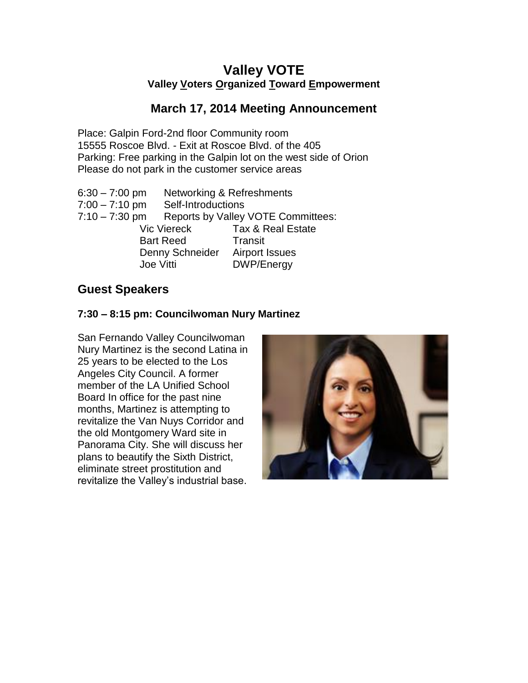# **Valley VOTE Valley Voters Organized Toward Empowerment**

### **March 17, 2014 Meeting Announcement**

Place: Galpin Ford-2nd floor Community room 15555 Roscoe Blvd. - Exit at Roscoe Blvd. of the 405 Parking: Free parking in the Galpin lot on the west side of Orion Please do not park in the customer service areas

| $6:30 - 7:00$ pm |                                           | Networking & Refreshments    |
|------------------|-------------------------------------------|------------------------------|
| $7:00 - 7:10$ pm | Self-Introductions                        |                              |
| $7:10 - 7:30$ pm | <b>Reports by Valley VOTE Committees:</b> |                              |
|                  | <b>Vic Viereck</b>                        | <b>Tax &amp; Real Estate</b> |
| <b>Bart Reed</b> |                                           | Transit                      |
| Denny Schneider  |                                           | <b>Airport Issues</b>        |
| Joe Vitti        |                                           | <b>DWP/Energy</b>            |
|                  |                                           |                              |

## **Guest Speakers**

#### **7:30 – 8:15 pm: Councilwoman Nury Martinez**

San Fernando Valley Councilwoman Nury Martinez is the second Latina in 25 years to be elected to the Los Angeles City Council. A former member of the LA Unified School Board In office for the past nine months, Martinez is attempting to revitalize the Van Nuys Corridor and the old Montgomery Ward site in Panorama City. She will discuss her plans to beautify the Sixth District, eliminate street prostitution and revitalize the Valley's industrial base.